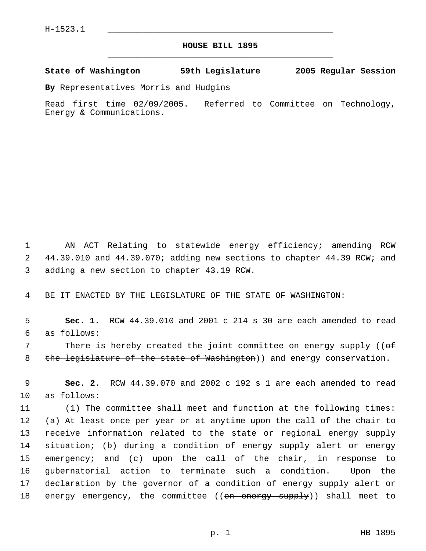## **HOUSE BILL 1895** \_\_\_\_\_\_\_\_\_\_\_\_\_\_\_\_\_\_\_\_\_\_\_\_\_\_\_\_\_\_\_\_\_\_\_\_\_\_\_\_\_\_\_\_\_

**State of Washington 59th Legislature 2005 Regular Session**

**By** Representatives Morris and Hudgins

Read first time 02/09/2005. Referred to Committee on Technology, Energy & Communications.

 1 AN ACT Relating to statewide energy efficiency; amending RCW 2 44.39.010 and 44.39.070; adding new sections to chapter 44.39 RCW; and 3 adding a new section to chapter 43.19 RCW.

4 BE IT ENACTED BY THE LEGISLATURE OF THE STATE OF WASHINGTON:

 5 **Sec. 1.** RCW 44.39.010 and 2001 c 214 s 30 are each amended to read 6 as follows:

7 There is hereby created the joint committee on energy supply ((of 8 the legislature of the state of Washington) and energy conservation.

 9 **Sec. 2.** RCW 44.39.070 and 2002 c 192 s 1 are each amended to read 10 as follows:

 (1) The committee shall meet and function at the following times: (a) At least once per year or at anytime upon the call of the chair to receive information related to the state or regional energy supply situation; (b) during a condition of energy supply alert or energy emergency; and (c) upon the call of the chair, in response to gubernatorial action to terminate such a condition. Upon the declaration by the governor of a condition of energy supply alert or 18 energy emergency, the committee ((<del>on energy supply</del>)) shall meet to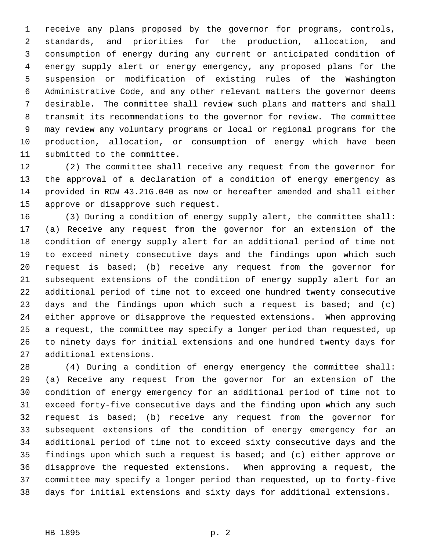receive any plans proposed by the governor for programs, controls, standards, and priorities for the production, allocation, and consumption of energy during any current or anticipated condition of energy supply alert or energy emergency, any proposed plans for the suspension or modification of existing rules of the Washington Administrative Code, and any other relevant matters the governor deems desirable. The committee shall review such plans and matters and shall transmit its recommendations to the governor for review. The committee may review any voluntary programs or local or regional programs for the production, allocation, or consumption of energy which have been submitted to the committee.

 (2) The committee shall receive any request from the governor for the approval of a declaration of a condition of energy emergency as provided in RCW 43.21G.040 as now or hereafter amended and shall either approve or disapprove such request.

 (3) During a condition of energy supply alert, the committee shall: (a) Receive any request from the governor for an extension of the condition of energy supply alert for an additional period of time not to exceed ninety consecutive days and the findings upon which such request is based; (b) receive any request from the governor for subsequent extensions of the condition of energy supply alert for an additional period of time not to exceed one hundred twenty consecutive days and the findings upon which such a request is based; and (c) either approve or disapprove the requested extensions. When approving a request, the committee may specify a longer period than requested, up to ninety days for initial extensions and one hundred twenty days for additional extensions.

 (4) During a condition of energy emergency the committee shall: (a) Receive any request from the governor for an extension of the condition of energy emergency for an additional period of time not to exceed forty-five consecutive days and the finding upon which any such request is based; (b) receive any request from the governor for subsequent extensions of the condition of energy emergency for an additional period of time not to exceed sixty consecutive days and the findings upon which such a request is based; and (c) either approve or disapprove the requested extensions. When approving a request, the committee may specify a longer period than requested, up to forty-five days for initial extensions and sixty days for additional extensions.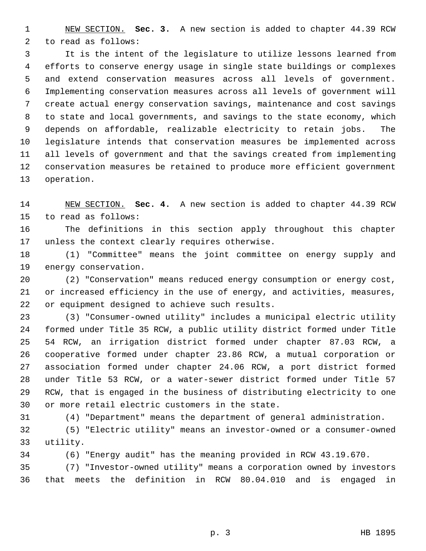NEW SECTION. **Sec. 3.** A new section is added to chapter 44.39 RCW to read as follows:

 It is the intent of the legislature to utilize lessons learned from efforts to conserve energy usage in single state buildings or complexes and extend conservation measures across all levels of government. Implementing conservation measures across all levels of government will create actual energy conservation savings, maintenance and cost savings to state and local governments, and savings to the state economy, which depends on affordable, realizable electricity to retain jobs. The legislature intends that conservation measures be implemented across all levels of government and that the savings created from implementing conservation measures be retained to produce more efficient government operation.

 NEW SECTION. **Sec. 4.** A new section is added to chapter 44.39 RCW to read as follows:

 The definitions in this section apply throughout this chapter unless the context clearly requires otherwise.

 (1) "Committee" means the joint committee on energy supply and energy conservation.

 (2) "Conservation" means reduced energy consumption or energy cost, or increased efficiency in the use of energy, and activities, measures, or equipment designed to achieve such results.

 (3) "Consumer-owned utility" includes a municipal electric utility formed under Title 35 RCW, a public utility district formed under Title 54 RCW, an irrigation district formed under chapter 87.03 RCW, a cooperative formed under chapter 23.86 RCW, a mutual corporation or association formed under chapter 24.06 RCW, a port district formed under Title 53 RCW, or a water-sewer district formed under Title 57 RCW, that is engaged in the business of distributing electricity to one or more retail electric customers in the state.

(4) "Department" means the department of general administration.

 (5) "Electric utility" means an investor-owned or a consumer-owned utility.

(6) "Energy audit" has the meaning provided in RCW 43.19.670.

 (7) "Investor-owned utility" means a corporation owned by investors that meets the definition in RCW 80.04.010 and is engaged in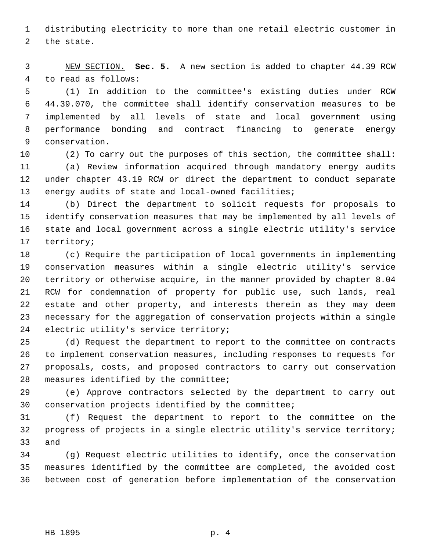distributing electricity to more than one retail electric customer in the state.

 NEW SECTION. **Sec. 5.** A new section is added to chapter 44.39 RCW to read as follows:

 (1) In addition to the committee's existing duties under RCW 44.39.070, the committee shall identify conservation measures to be implemented by all levels of state and local government using performance bonding and contract financing to generate energy conservation.

 (2) To carry out the purposes of this section, the committee shall: (a) Review information acquired through mandatory energy audits under chapter 43.19 RCW or direct the department to conduct separate energy audits of state and local-owned facilities;

 (b) Direct the department to solicit requests for proposals to identify conservation measures that may be implemented by all levels of state and local government across a single electric utility's service territory;

 (c) Require the participation of local governments in implementing conservation measures within a single electric utility's service territory or otherwise acquire, in the manner provided by chapter 8.04 RCW for condemnation of property for public use, such lands, real estate and other property, and interests therein as they may deem necessary for the aggregation of conservation projects within a single electric utility's service territory;

 (d) Request the department to report to the committee on contracts to implement conservation measures, including responses to requests for proposals, costs, and proposed contractors to carry out conservation measures identified by the committee;

 (e) Approve contractors selected by the department to carry out conservation projects identified by the committee;

 (f) Request the department to report to the committee on the progress of projects in a single electric utility's service territory; and

 (g) Request electric utilities to identify, once the conservation measures identified by the committee are completed, the avoided cost between cost of generation before implementation of the conservation